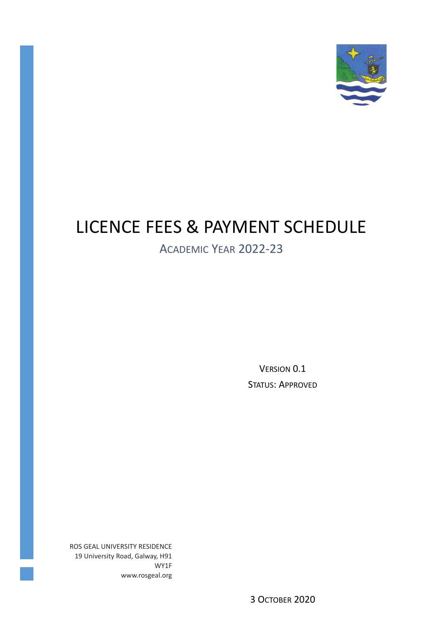

# LICENCE FEES & PAYMENT SCHEDULE

# ACADEMIC YEAR 2022-23

VERSION 0.1 STATUS: APPROVED

ROS GEAL UNIVERSITY RESIDENCE 19 University Road, Galway, H91 WY1F www.rosgeal.org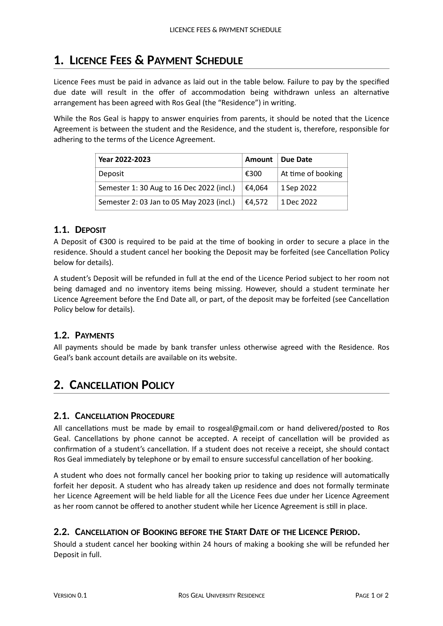## **1. LICENCE FEES & PAYMENT SCHEDULE**

Licence Fees must be paid in advance as laid out in the table below. Failure to pay by the specified due date will result in the offer of accommodation being withdrawn unless an alternative arrangement has been agreed with Ros Geal (the "Residence") in writing.

While the Ros Geal is happy to answer enquiries from parents, it should be noted that the Licence Agreement is between the student and the Residence, and the student is, therefore, responsible for adhering to the terms of the Licence Agreement.

| Year 2022-2023                            | Amount | Due Date           |
|-------------------------------------------|--------|--------------------|
| Deposit                                   | €300   | At time of booking |
| Semester 1: 30 Aug to 16 Dec 2022 (incl.) | €4.064 | 1 Sep 2022         |
| Semester 2: 03 Jan to 05 May 2023 (incl.) | €4.572 | 1 Dec 2022         |

### **1.1. DEPOSIT**

A Deposit of  $\epsilon$ 300 is required to be paid at the time of booking in order to secure a place in the residence. Should a student cancel her booking the Deposit may be forfeited (see Cancellation Policy below for details).

A student's Deposit will be refunded in full at the end of the Licence Period subject to her room not being damaged and no inventory items being missing. However, should a student terminate her Licence Agreement before the End Date all, or part, of the deposit may be forfeited (see Cancellation Policy below for details).

### **1.2. PAYMENTS**

All payments should be made by bank transfer unless otherwise agreed with the Residence. Ros Geal's bank account details are available on its website.

### **2. CANCELLATION POLICY**

### **2.1. CANCELLATION PROCEDURE**

All cancellations must be made by email to rosgeal@gmail.com or hand delivered/posted to Ros Geal. Cancellations by phone cannot be accepted. A receipt of cancellation will be provided as confirmation of a student's cancellation. If a student does not receive a receipt, she should contact Ros Geal immediately by telephone or by email to ensure successful cancellation of her booking.

A student who does not formally cancel her booking prior to taking up residence will automatically forfeit her deposit. A student who has already taken up residence and does not formally terminate her Licence Agreement will be held liable for all the Licence Fees due under her Licence Agreement as her room cannot be offered to another student while her Licence Agreement is still in place.

### **2.2. CANCELLATION OF BOOKING BEFORE THE START DATE OF THE LICENCE PERIOD.**

Should a student cancel her booking within 24 hours of making a booking she will be refunded her Deposit in full.